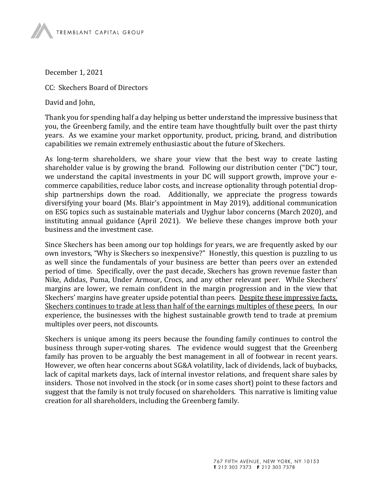December 1, 2021

CC: Skechers Board of Directors

David and John,

Thank you for spending half a day helping us better understand the impressive business that you, the Greenberg family, and the entire team have thoughtfully built over the past thirty years. As we examine your market opportunity, product, pricing, brand, and distribution capabilities we remain extremely enthusiastic about the future of Skechers.

As long-term shareholders, we share your view that the best way to create lasting shareholder value is by growing the brand. Following our distribution center ("DC") tour, we understand the capital investments in your DC will support growth, improve your ecommerce capabilities, reduce labor costs, and increase optionality through potential dropship partnerships down the road. Additionally, we appreciate the progress towards diversifying your board (Ms. Blair's appointment in May 2019), additional communication on ESG topics such as sustainable materials and Uyghur labor concerns (March 2020), and instituting annual guidance (April 2021). We believe these changes improve both your business and the investment case.

Since Skechers has been among our top holdings for years, we are frequently asked by our own investors, "Why is Skechers so inexpensive?" Honestly, this question is puzzling to us as well since the fundamentals of your business are better than peers over an extended period of time. Specifically, over the past decade, Skechers has grown revenue faster than Nike, Adidas, Puma, Under Armour, Crocs, and any other relevant peer. While Skechers' margins are lower, we remain confident in the margin progression and in the view that Skechers' margins have greater upside potential than peers. Despite these impressive facts, Skechers continues to trade at less than half of the earnings multiples of these peers. In our experience, the businesses with the highest sustainable growth tend to trade at premium multiples over peers, not discounts.

Skechers is unique among its peers because the founding family continues to control the business through super-voting shares. The evidence would suggest that the Greenberg family has proven to be arguably the best management in all of footwear in recent years. However, we often hear concerns about SG&A volatility, lack of dividends, lack of buybacks, lack of capital markets days, lack of internal investor relations, and frequent share sales by insiders. Those not involved in the stock (or in some cases short) point to these factors and suggest that the family is not truly focused on shareholders. This narrative is limiting value creation for all shareholders, including the Greenberg family.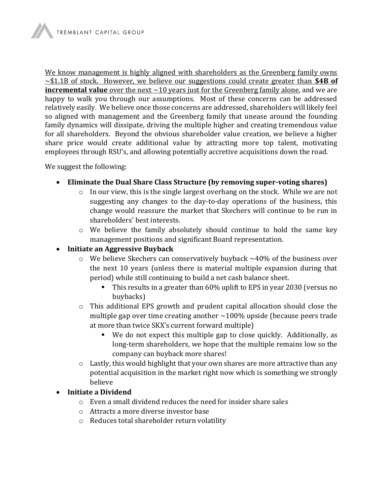We know management is highly aligned with shareholders as the Greenberg family owns  $\sim$ \$1.1B of stock. However, we believe our suggestions could create greater than \$4B of **incremental value** over the next  $\sim$ 10 years just for the Greenberg family alone, and we are happy to walk you through our assumptions. Most of these concerns can be addressed relatively easily. We believe once those concerns are addressed, shareholders will likely feel so aligned with management and the Greenberg family that unease around the founding family dynamics will dissipate, driving the multiple higher and creating tremendous value for all shareholders. Beyond the obvious shareholder value creation, we believe a higher share price would create additional value by attracting more top talent, motivating employees through RSU's, and allowing potentially accretive acquisitions down the road.

We suggest the following:

- Eliminate the Dual Share Class Structure (by removing super-voting shares)
	- o In our view, this is the single largest overhang on the stock. While we are not suggesting any changes to the day-to-day operations of the business, this change would reassure the market that Skechers will continue to be run in shareholders' best interests.
	- o We believe the family absolutely should continue to hold the same key management positions and significant Board representation.

## • Initiate an Aggressive Buyback

- $\circ$  We believe Skechers can conservatively buyback  $\sim$ 40% of the business over the next 10 years (unless there is material multiple expansion during that period) while still continuing to build a net cash balance sheet.
	- This results in a greater than 60% uplift to EPS in year 2030 (versus no buybacks)
- o This additional EPS growth and prudent capital allocation should close the multiple gap over time creating another  $\sim$ 100% upside (because peers trade at more than twice SKX's current forward multiple)
	- We do not expect this multiple gap to close quickly. Additionally, as long-term shareholders, we hope that the multiple remains low so the company can buyback more shares!
- o Lastly, this would highlight that your own shares are more attractive than any potential acquisition in the market right now which is something we strongly believe

## Initiate a Dividend

- o Even a small dividend reduces the need for insider share sales
- o Attracts a more diverse investor base
- o Reduces total shareholder return volatility